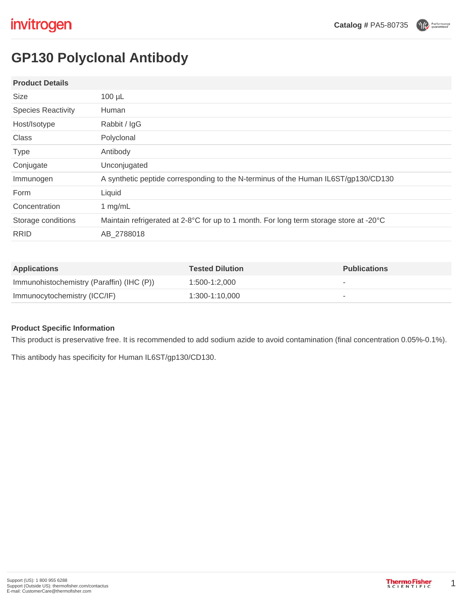Performance

# **GP130 Polyclonal Antibody**

### **Product Details**

| Size                      | $100 \mu L$                                                                            |
|---------------------------|----------------------------------------------------------------------------------------|
| <b>Species Reactivity</b> | Human                                                                                  |
| Host/Isotype              | Rabbit / IgG                                                                           |
| Class                     | Polyclonal                                                                             |
| <b>Type</b>               | Antibody                                                                               |
| Conjugate                 | Unconjugated                                                                           |
| Immunogen                 | A synthetic peptide corresponding to the N-terminus of the Human IL6ST/gp130/CD130     |
| Form                      | Liquid                                                                                 |
| Concentration             | 1 $mg/mL$                                                                              |
| Storage conditions        | Maintain refrigerated at 2-8°C for up to 1 month. For long term storage store at -20°C |
| <b>RRID</b>               | AB 2788018                                                                             |
|                           |                                                                                        |

| <b>Applications</b>                       | <b>Tested Dilution</b> | <b>Publications</b> |
|-------------------------------------------|------------------------|---------------------|
| Immunohistochemistry (Paraffin) (IHC (P)) | 1:500-1:2.000          | $\sim$              |
| Immunocytochemistry (ICC/IF)              | 1:300-1:10.000         |                     |

# **Product Specific Information**

This product is preservative free. It is recommended to add sodium azide to avoid contamination (final concentration 0.05%-0.1%).

This antibody has specificity for Human IL6ST/gp130/CD130.

1